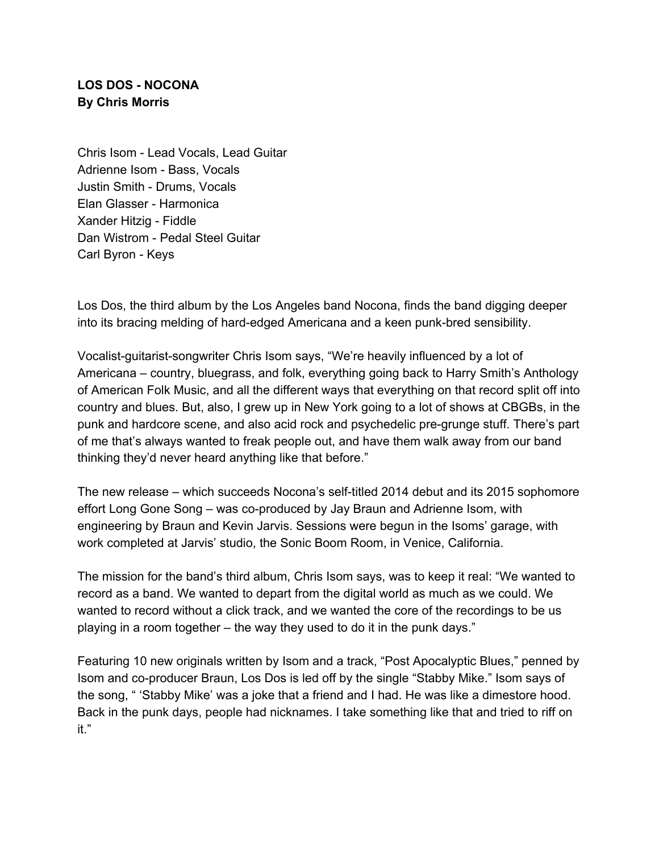## **LOS DOS - NOCONA By Chris Morris**

Chris Isom - Lead Vocals, Lead Guitar Adrienne Isom - Bass, Vocals Justin Smith - Drums, Vocals Elan Glasser - Harmonica Xander Hitzig - Fiddle Dan Wistrom - Pedal Steel Guitar Carl Byron - Keys

Los Dos, the third album by the Los Angeles band Nocona, finds the band digging deeper into its bracing melding of hard-edged Americana and a keen punk-bred sensibility.

Vocalist-guitarist-songwriter Chris Isom says, "We're heavily influenced by a lot of Americana – country, bluegrass, and folk, everything going back to Harry Smith's Anthology of American Folk Music, and all the different ways that everything on that record split off into country and blues. But, also, I grew up in New York going to a lot of shows at CBGBs, in the punk and hardcore scene, and also acid rock and psychedelic pre-grunge stuff. There's part of me that's always wanted to freak people out, and have them walk away from our band thinking they'd never heard anything like that before."

The new release – which succeeds Nocona's self-titled 2014 debut and its 2015 sophomore effort Long Gone Song – was co-produced by Jay Braun and Adrienne Isom, with engineering by Braun and Kevin Jarvis. Sessions were begun in the Isoms' garage, with work completed at Jarvis' studio, the Sonic Boom Room, in Venice, California.

The mission for the band's third album, Chris Isom says, was to keep it real: "We wanted to record as a band. We wanted to depart from the digital world as much as we could. We wanted to record without a click track, and we wanted the core of the recordings to be us playing in a room together – the way they used to do it in the punk days."

Featuring 10 new originals written by Isom and a track, "Post Apocalyptic Blues," penned by Isom and co-producer Braun, Los Dos is led off by the single "Stabby Mike." Isom says of the song, " 'Stabby Mike' was a joke that a friend and I had. He was like a dimestore hood. Back in the punk days, people had nicknames. I take something like that and tried to riff on it."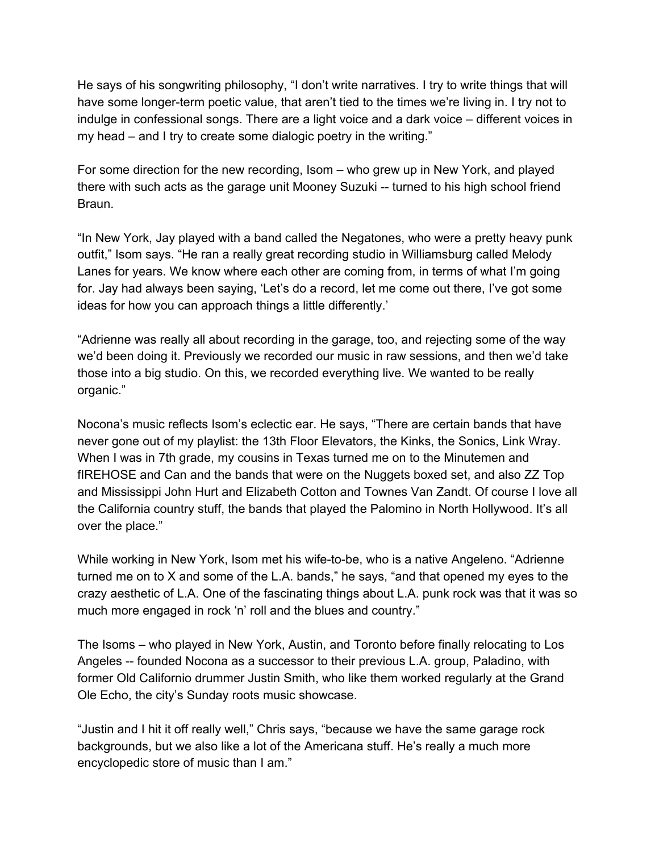He says of his songwriting philosophy, "I don't write narratives. I try to write things that will have some longer-term poetic value, that aren't tied to the times we're living in. I try not to indulge in confessional songs. There are a light voice and a dark voice – different voices in my head – and I try to create some dialogic poetry in the writing."

For some direction for the new recording, Isom – who grew up in New York, and played there with such acts as the garage unit Mooney Suzuki -- turned to his high school friend Braun.

"In New York, Jay played with a band called the Negatones, who were a pretty heavy punk outfit," Isom says. "He ran a really great recording studio in Williamsburg called Melody Lanes for years. We know where each other are coming from, in terms of what I'm going for. Jay had always been saying, 'Let's do a record, let me come out there, I've got some ideas for how you can approach things a little differently.'

"Adrienne was really all about recording in the garage, too, and rejecting some of the way we'd been doing it. Previously we recorded our music in raw sessions, and then we'd take those into a big studio. On this, we recorded everything live. We wanted to be really organic."

Nocona's music reflects Isom's eclectic ear. He says, "There are certain bands that have never gone out of my playlist: the 13th Floor Elevators, the Kinks, the Sonics, Link Wray. When I was in 7th grade, my cousins in Texas turned me on to the Minutemen and fIREHOSE and Can and the bands that were on the Nuggets boxed set, and also ZZ Top and Mississippi John Hurt and Elizabeth Cotton and Townes Van Zandt. Of course I love all the California country stuff, the bands that played the Palomino in North Hollywood. It's all over the place."

While working in New York, Isom met his wife-to-be, who is a native Angeleno. "Adrienne turned me on to X and some of the L.A. bands," he says, "and that opened my eyes to the crazy aesthetic of L.A. One of the fascinating things about L.A. punk rock was that it was so much more engaged in rock 'n' roll and the blues and country."

The Isoms – who played in New York, Austin, and Toronto before finally relocating to Los Angeles -- founded Nocona as a successor to their previous L.A. group, Paladino, with former Old Californio drummer Justin Smith, who like them worked regularly at the Grand Ole Echo, the city's Sunday roots music showcase.

"Justin and I hit it off really well," Chris says, "because we have the same garage rock backgrounds, but we also like a lot of the Americana stuff. He's really a much more encyclopedic store of music than I am."